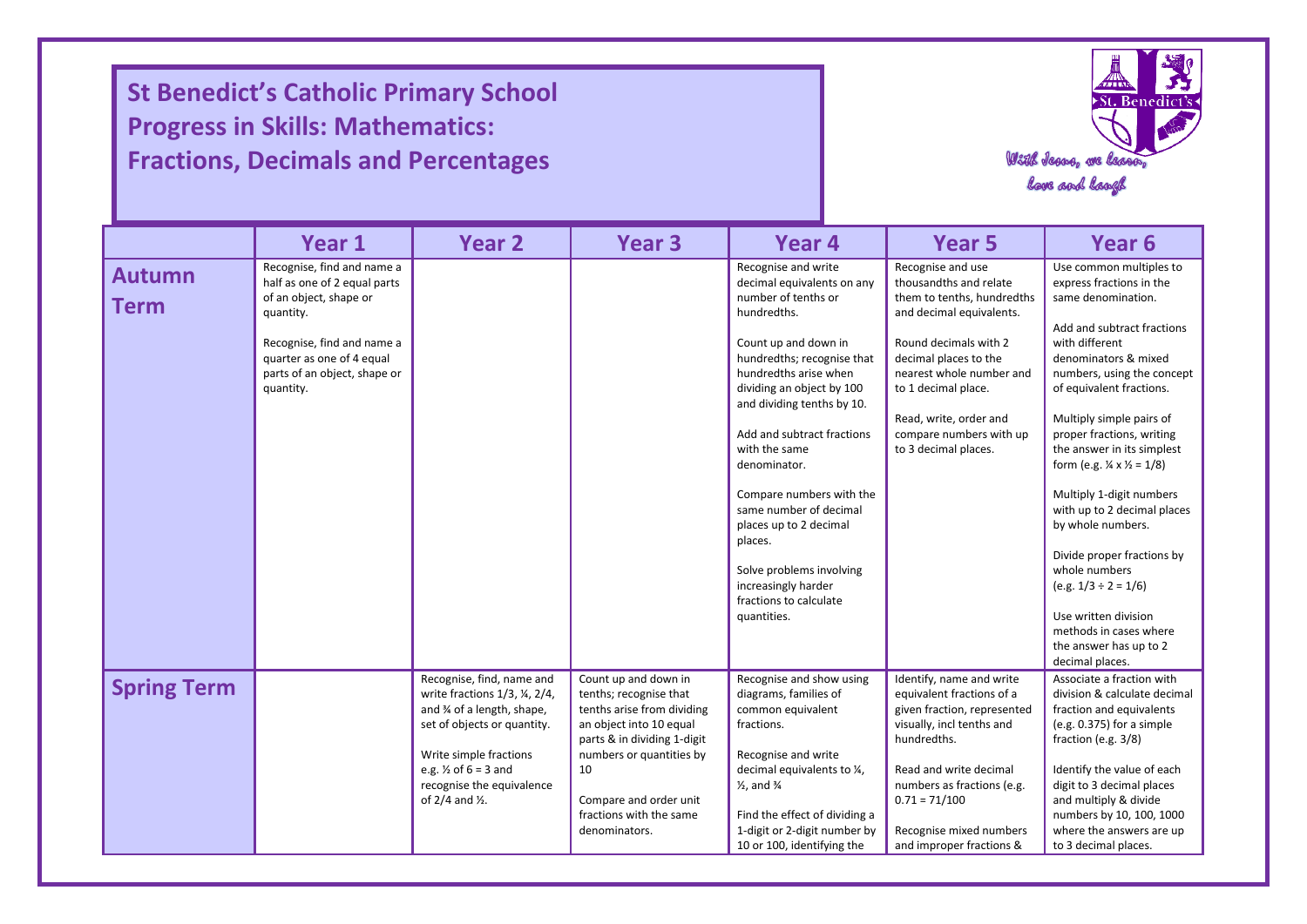**St Benedict's Catholic Primary School Progress in Skills: Mathematics: Fractions, Decimals and Percentages**

I

I

I



|                              | Year 1                                                                                                                                                                                                    | <b>Year 2</b>                                                                                                                                                                                                                                                      | <b>Year 3</b>                                                                                                                                                                                                                                  | Year 4                                                                                                                                                                                                                                                                                                                                                                                                                                                                                  | Year <sub>5</sub>                                                                                                                                                                                                                                                                       | Year 6                                                                                                                                                                                                                                                                                                                                                                                                                                                                                                                                                                                            |
|------------------------------|-----------------------------------------------------------------------------------------------------------------------------------------------------------------------------------------------------------|--------------------------------------------------------------------------------------------------------------------------------------------------------------------------------------------------------------------------------------------------------------------|------------------------------------------------------------------------------------------------------------------------------------------------------------------------------------------------------------------------------------------------|-----------------------------------------------------------------------------------------------------------------------------------------------------------------------------------------------------------------------------------------------------------------------------------------------------------------------------------------------------------------------------------------------------------------------------------------------------------------------------------------|-----------------------------------------------------------------------------------------------------------------------------------------------------------------------------------------------------------------------------------------------------------------------------------------|---------------------------------------------------------------------------------------------------------------------------------------------------------------------------------------------------------------------------------------------------------------------------------------------------------------------------------------------------------------------------------------------------------------------------------------------------------------------------------------------------------------------------------------------------------------------------------------------------|
| <b>Autumn</b><br><b>Term</b> | Recognise, find and name a<br>half as one of 2 equal parts<br>of an object, shape or<br>quantity.<br>Recognise, find and name a<br>quarter as one of 4 equal<br>parts of an object, shape or<br>quantity. |                                                                                                                                                                                                                                                                    |                                                                                                                                                                                                                                                | Recognise and write<br>decimal equivalents on any<br>number of tenths or<br>hundredths.<br>Count up and down in<br>hundredths; recognise that<br>hundredths arise when<br>dividing an object by 100<br>and dividing tenths by 10.<br>Add and subtract fractions<br>with the same<br>denominator.<br>Compare numbers with the<br>same number of decimal<br>places up to 2 decimal<br>places.<br>Solve problems involving<br>increasingly harder<br>fractions to calculate<br>quantities. | Recognise and use<br>thousandths and relate<br>them to tenths, hundredths<br>and decimal equivalents.<br>Round decimals with 2<br>decimal places to the<br>nearest whole number and<br>to 1 decimal place.<br>Read, write, order and<br>compare numbers with up<br>to 3 decimal places. | Use common multiples to<br>express fractions in the<br>same denomination.<br>Add and subtract fractions<br>with different<br>denominators & mixed<br>numbers, using the concept<br>of equivalent fractions.<br>Multiply simple pairs of<br>proper fractions, writing<br>the answer in its simplest<br>form (e.g. $\frac{1}{4} \times \frac{1}{2} = 1/8$ )<br>Multiply 1-digit numbers<br>with up to 2 decimal places<br>by whole numbers.<br>Divide proper fractions by<br>whole numbers<br>$(e.g. 1/3 \div 2 = 1/6)$<br>Use written division<br>methods in cases where<br>the answer has up to 2 |
| <b>Spring Term</b>           |                                                                                                                                                                                                           | Recognise, find, name and<br>write fractions $1/3$ , $\frac{1}{2}$ , $2/4$ ,<br>and % of a length, shape,<br>set of objects or quantity.<br>Write simple fractions<br>e.g. $\frac{1}{2}$ of 6 = 3 and<br>recognise the equivalence<br>of $2/4$ and $\frac{1}{2}$ . | Count up and down in<br>tenths; recognise that<br>tenths arise from dividing<br>an object into 10 equal<br>parts & in dividing 1-digit<br>numbers or quantities by<br>10<br>Compare and order unit<br>fractions with the same<br>denominators. | Recognise and show using<br>diagrams, families of<br>common equivalent<br>fractions.<br>Recognise and write<br>decimal equivalents to 1/4,<br>$\frac{1}{2}$ , and $\frac{3}{4}$<br>Find the effect of dividing a<br>1-digit or 2-digit number by<br>10 or 100, identifying the                                                                                                                                                                                                          | Identify, name and write<br>equivalent fractions of a<br>given fraction, represented<br>visually, incl tenths and<br>hundredths.<br>Read and write decimal<br>numbers as fractions (e.g.<br>$0.71 = 71/100$<br>Recognise mixed numbers<br>and improper fractions &                      | decimal places.<br>Associate a fraction with<br>division & calculate decimal<br>fraction and equivalents<br>(e.g. $0.375$ ) for a simple<br>fraction (e.g. 3/8)<br>Identify the value of each<br>digit to 3 decimal places<br>and multiply & divide<br>numbers by 10, 100, 1000<br>where the answers are up<br>to 3 decimal places.                                                                                                                                                                                                                                                               |